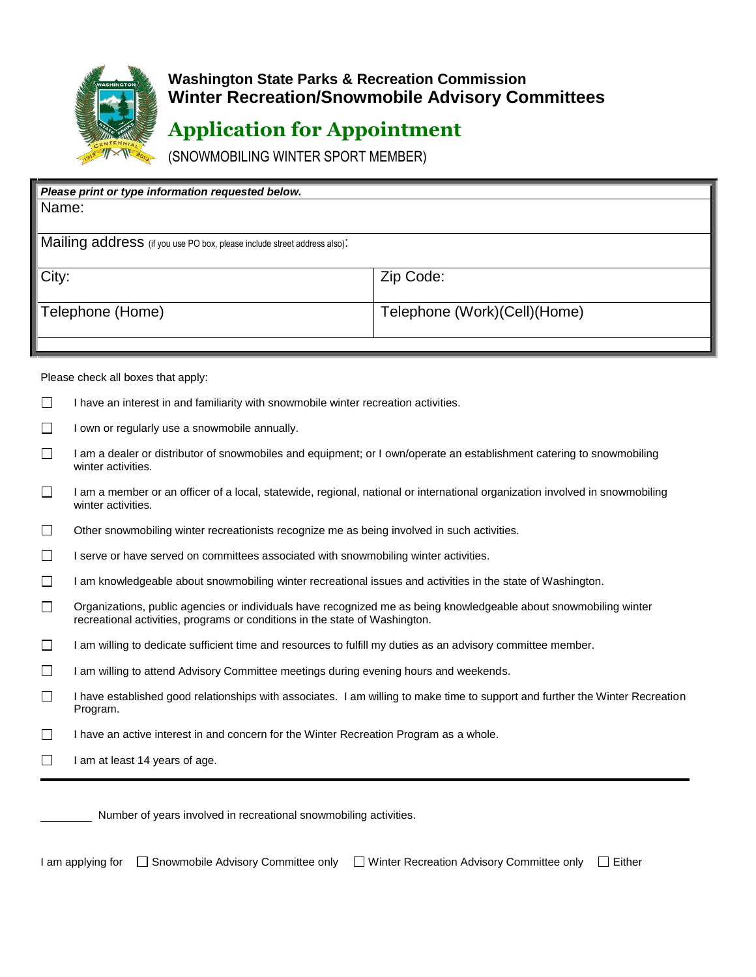

## **Washington State Parks & Recreation Commission Winter Recreation/Snowmobile Advisory Committees**

## **Application for Appointment**

(SNOWMOBILING WINTER SPORT MEMBER)

| Please print or type information requested below.                        |                              |
|--------------------------------------------------------------------------|------------------------------|
| Name:                                                                    |                              |
|                                                                          |                              |
| Mailing address (if you use PO box, please include street address also). |                              |
| City:                                                                    | Zip Code:                    |
| Telephone (Home)                                                         | Telephone (Work)(Cell)(Home) |
|                                                                          |                              |

Please check all boxes that apply:

 $\Box$ I own or regularly use a snowmobile annually.

- $\Box$ I am a dealer or distributor of snowmobiles and equipment; or I own/operate an establishment catering to snowmobiling winter activities.
- $\Box$ I am a member or an officer of a local, statewide, regional, national or international organization involved in snowmobiling winter activities.
- $\Box$ Other snowmobiling winter recreationists recognize me as being involved in such activities.
- $\Box$ I serve or have served on committees associated with snowmobiling winter activities.
- $\Box$ I am knowledgeable about snowmobiling winter recreational issues and activities in the state of Washington.
- $\Box$ Organizations, public agencies or individuals have recognized me as being knowledgeable about snowmobiling winter recreational activities, programs or conditions in the state of Washington.
- $\Box$ I am willing to dedicate sufficient time and resources to fulfill my duties as an advisory committee member.
- $\Box$ I am willing to attend Advisory Committee meetings during evening hours and weekends.
- $\Box$ I have established good relationships with associates. I am willing to make time to support and further the Winter Recreation Program.
- $\Box$ I have an active interest in and concern for the Winter Recreation Program as a whole.
- $\Box$ I am at least 14 years of age.

Number of years involved in recreational snowmobiling activities.

I am applying for □ Snowmobile Advisory Committee only □ Winter Recreation Advisory Committee only □ Either